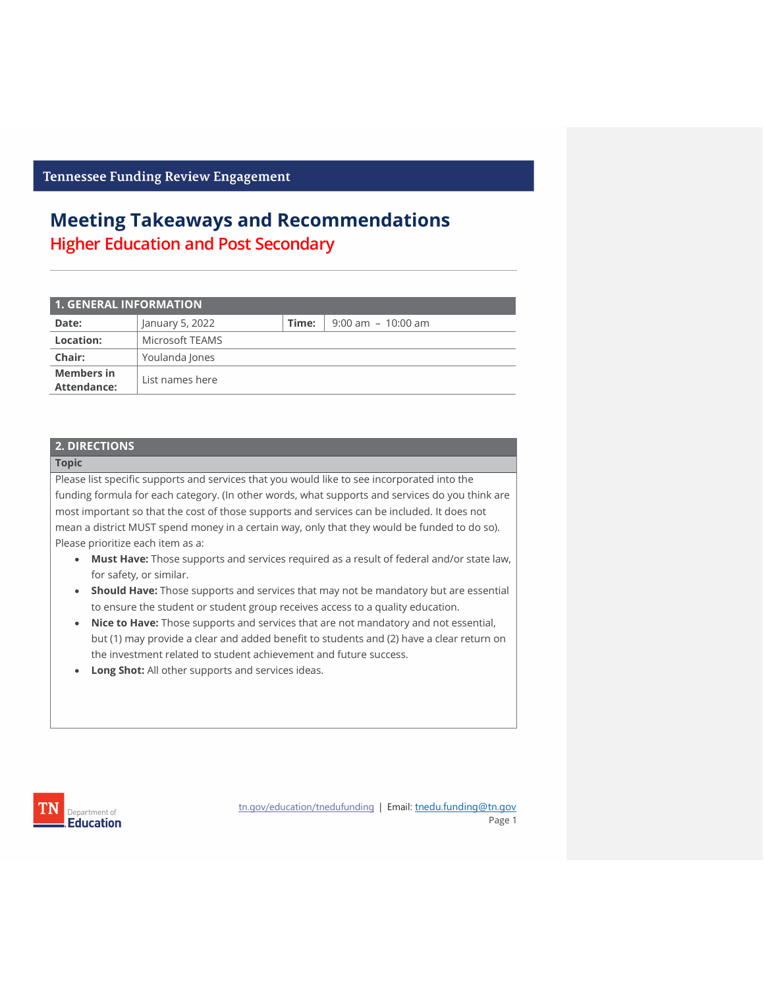# **Meeting Takeaways and Recommendations Higher Education and Post Secondary**

| <b>1. GENERAL INFORMATION</b>           |                 |       |                       |  |  |
|-----------------------------------------|-----------------|-------|-----------------------|--|--|
| Date:                                   | January 5, 2022 | Time: | $9:00$ am $-10:00$ am |  |  |
| Location:                               | Microsoft TEAMS |       |                       |  |  |
| Chair:                                  | Youlanda Jones  |       |                       |  |  |
| <b>Members in</b><br><b>Attendance:</b> | List names here |       |                       |  |  |

### **2. DIRECTIONS**

#### **Topic**

Please list specific supports and services that you would like to see incorporated into the funding formula for each category. (In other words, what supports and services do you think are most important so that the cost of those supports and services can be included. It does not mean a district MUST spend money in a certain way, only that they would be funded to do so). Please prioritize each item as a:

- **Must Have:** Those supports and services required as a result of federal and/or state law, for safety, or similar.
- **Should Have:** Those supports and services that may not be mandatory but are essential to ensure the student or student group receives access to a quality education.
- **Nice to Have:** Those supports and services that are not mandatory and not essential, but (1) may provide a clear and added benefit to students and (2) have a clear return on the investment related to student achievement and future success.
- **Long Shot:** All other supports and services ideas.



[tn.gov/education/tnedufunding](https://www.tn.gov/education/tnedufunding.html) | Email: tnedu.funding@tn.gov Page 1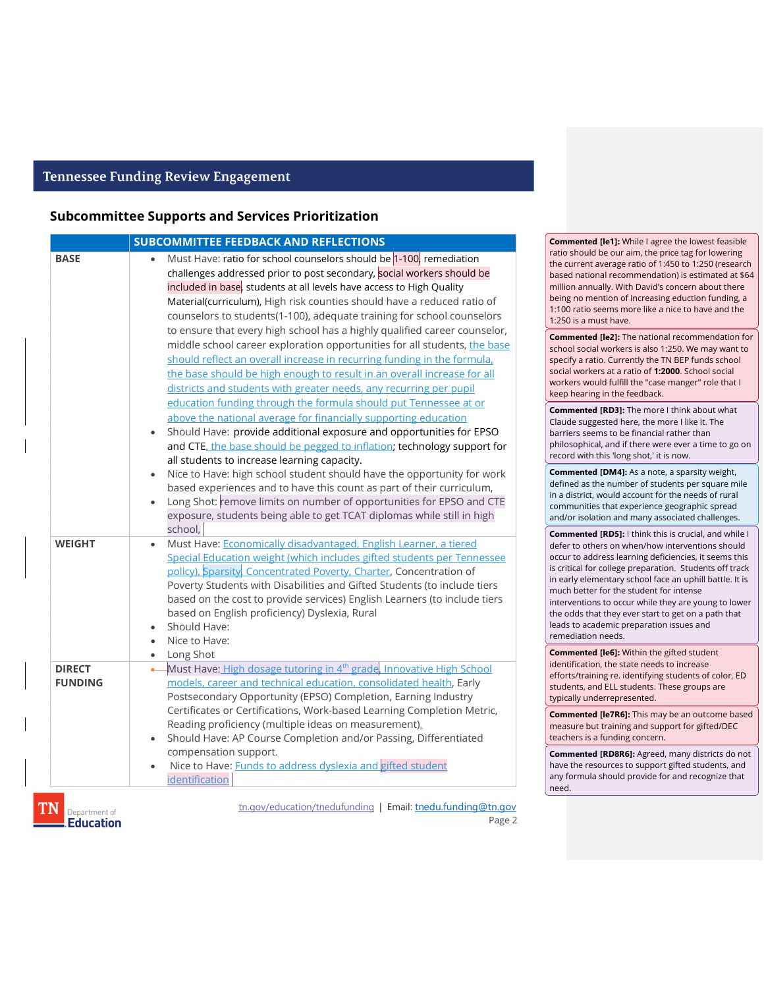### **Subcommittee Supports and Services Prioritization**

|                                 | <b>SUBCOMMITTEE FEEDBACK AND REFLECTIONS</b>                                                                                                                                                                                                                                                                                                                                                                                                                           | <b>Commented [le1]:</b> While I agree the lowest feasible                                                                                                                                                                                                                                                                                                                                                                                                                                                                   |
|---------------------------------|------------------------------------------------------------------------------------------------------------------------------------------------------------------------------------------------------------------------------------------------------------------------------------------------------------------------------------------------------------------------------------------------------------------------------------------------------------------------|-----------------------------------------------------------------------------------------------------------------------------------------------------------------------------------------------------------------------------------------------------------------------------------------------------------------------------------------------------------------------------------------------------------------------------------------------------------------------------------------------------------------------------|
| <b>BASE</b>                     | Must Have: ratio for school counselors should be 1-100, remediation<br>challenges addressed prior to post secondary, social workers should be<br>included in base, students at all levels have access to High Quality<br>Material(curriculum), High risk counties should have a reduced ratio of<br>counselors to students(1-100), adequate training for school counselors<br>to ensure that every high school has a highly qualified career counselor,                | ratio should be our aim, the price tag for lowering<br>the current average ratio of 1:450 to 1:250 (research<br>based national recommendation) is estimated at \$64<br>million annually. With David's concern about there<br>being no mention of increasing eduction funding, a<br>1:100 ratio seems more like a nice to have and the<br>1:250 is a must have.<br><b>Commented [le2]:</b> The national recommendation for                                                                                                   |
|                                 | middle school career exploration opportunities for all students, the base<br>should reflect an overall increase in recurring funding in the formula.<br>the base should be high enough to result in an overall increase for all<br>districts and students with greater needs, any recurring per pupil<br>education funding through the formula should put Tennessee at or                                                                                              | school social workers is also 1:250. We may want to<br>specify a ratio. Currently the TN BEP funds school<br>social workers at a ratio of 1:2000. School social<br>workers would fulfill the "case manger" role that I<br>keep hearing in the feedback.                                                                                                                                                                                                                                                                     |
|                                 | above the national average for financially supporting education<br>Should Have: provide additional exposure and opportunities for EPSO<br>and CTE, the base should be pegged to inflation; technology support for<br>all students to increase learning capacity.                                                                                                                                                                                                       | <b>Commented [RD3]:</b> The more I think about what<br>Claude suggested here, the more I like it. The<br>barriers seems to be financial rather than<br>philosophical, and if there were ever a time to go on<br>record with this 'long shot,' it is now.                                                                                                                                                                                                                                                                    |
|                                 | Nice to Have: high school student should have the opportunity for work<br>based experiences and to have this count as part of their curriculum,<br>Long Shot: remove limits on number of opportunities for EPSO and CTE<br>exposure, students being able to get TCAT diplomas while still in high                                                                                                                                                                      | <b>Commented [DM4]:</b> As a note, a sparsity weight,<br>defined as the number of students per square mile<br>in a district, would account for the needs of rural<br>communities that experience geographic spread<br>and/or isolation and many associated challenges.                                                                                                                                                                                                                                                      |
| <b>WEIGHT</b>                   | school,<br>Must Have: Economically disadvantaged, English Learner, a tiered<br>Special Education weight (which includes gifted students per Tennessee<br>policy), Sparsity, Concentrated Poverty, Charter, Concentration of<br>Poverty Students with Disabilities and Gifted Students (to include tiers<br>based on the cost to provide services) English Learners (to include tiers<br>based on English proficiency) Dyslexia, Rural<br>Should Have:<br>Nice to Have: | <b>Commented [RD5]: I think this is crucial, and while I</b><br>defer to others on when/how interventions should<br>occur to address learning deficiencies, it seems this<br>is critical for college preparation. Students off track<br>in early elementary school face an uphill battle. It is<br>much better for the student for intense<br>interventions to occur while they are young to lower<br>the odds that they ever start to get on a path that<br>leads to academic preparation issues and<br>remediation needs. |
| <b>DIRECT</b><br><b>FUNDING</b> | Long Shot<br>Must Have: High dosage tutoring in 4 <sup>th</sup> grade, Innovative High School<br>models, career and technical education, consolidated health, Early<br>Postsecondary Opportunity (EPSO) Completion, Earning Industry                                                                                                                                                                                                                                   | <b>Commented [le6]:</b> Within the gifted student<br>identification, the state needs to increase<br>efforts/training re. identifying students of color, ED<br>students, and ELL students. These groups are<br>typically underrepresented.                                                                                                                                                                                                                                                                                   |
|                                 | Certificates or Certifications, Work-based Learning Completion Metric,<br>Reading proficiency (multiple ideas on measurement).<br>Should Have: AP Course Completion and/or Passing, Differentiated                                                                                                                                                                                                                                                                     | <b>Commented [le7R6]:</b> This may be an outcome based<br>measure but training and support for gifted/DEC<br>teachers is a funding concern.                                                                                                                                                                                                                                                                                                                                                                                 |
|                                 | compensation support.<br>Nice to Have: Funds to address dyslexia and gifted student<br>identification                                                                                                                                                                                                                                                                                                                                                                  | Commented [RD8R6]: Agreed, many districts do not<br>have the resources to support gifted students, and<br>any formula should provide for and recognize that<br>need.                                                                                                                                                                                                                                                                                                                                                        |

TN Department of [tn.gov/education/tnedufunding](https://www.tn.gov/education/tnedufunding.html) | Email: tnedu.funding@tn.gov

Page 2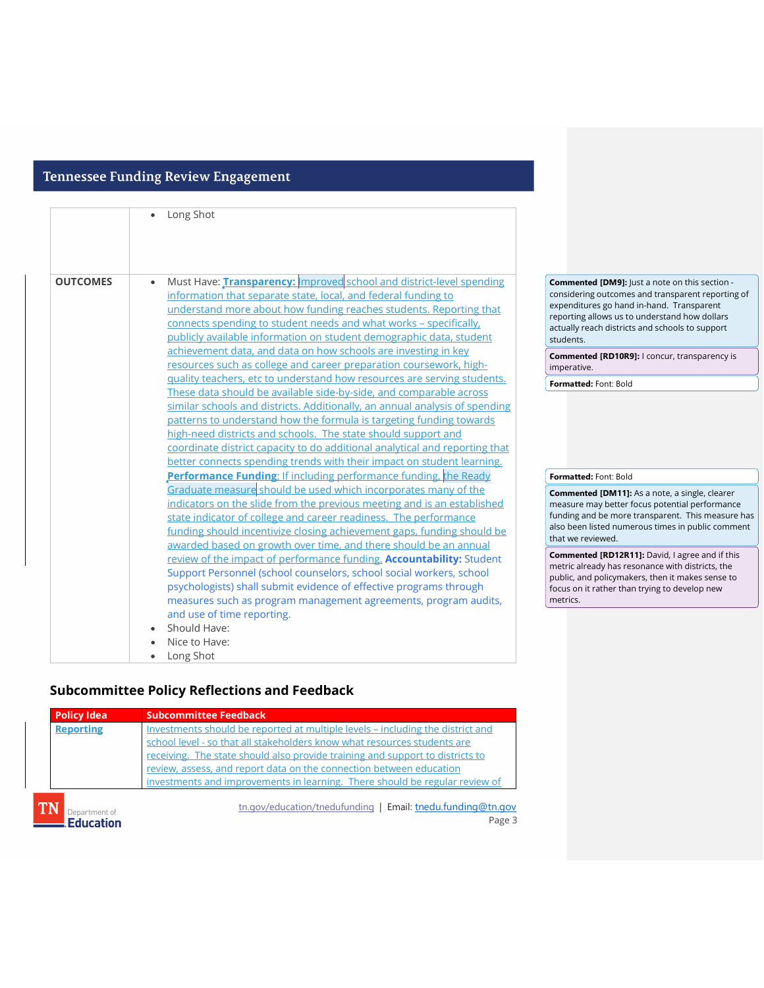|                 | Long Shot                                                                                                                                                                                                                                                                                                                                                                    |                                                                                                                                                                                                                                                                          |
|-----------------|------------------------------------------------------------------------------------------------------------------------------------------------------------------------------------------------------------------------------------------------------------------------------------------------------------------------------------------------------------------------------|--------------------------------------------------------------------------------------------------------------------------------------------------------------------------------------------------------------------------------------------------------------------------|
| <b>OUTCOMES</b> | Must Have: Transparency: Improved school and district-level spending<br>information that separate state, local, and federal funding to<br>understand more about how funding reaches students. Reporting that<br>connects spending to student needs and what works - specifically,<br>publicly available information on student demographic data, student                     | <b>Commented [DM9]:</b> Just a note on this section -<br>considering outcomes and transparent reporting of<br>expenditures go hand in-hand. Transparent<br>reporting allows us to understand how dollars<br>actually reach districts and schools to support<br>students. |
|                 | achievement data, and data on how schools are investing in key<br>resources such as college and career preparation coursework, high-                                                                                                                                                                                                                                         | Commented [RD10R9]: I concur, transparency is<br>imperative.                                                                                                                                                                                                             |
|                 | quality teachers, etc to understand how resources are serving students.<br>These data should be available side-by-side, and comparable across                                                                                                                                                                                                                                | Formatted: Font: Bold                                                                                                                                                                                                                                                    |
|                 | similar schools and districts. Additionally, an annual analysis of spending<br>patterns to understand how the formula is targeting funding towards<br>high-need districts and schools. The state should support and<br>coordinate district capacity to do additional analytical and reporting that<br>better connects spending trends with their impact on student learning. |                                                                                                                                                                                                                                                                          |
|                 | Performance Funding; If including performance funding, the Ready                                                                                                                                                                                                                                                                                                             | Formatted: Font: Bold                                                                                                                                                                                                                                                    |
|                 | Graduate measure should be used which incorporates many of the<br>indicators on the slide from the previous meeting and is an established<br>state indicator of college and career readiness. The performance<br>funding should incentivize closing achievement gaps, funding should be<br>awarded based on growth over time, and there should be an annual                  | <b>Commented [DM11]:</b> As a note, a single, clearer<br>measure may better focus potential performance<br>funding and be more transparent. This measure ha<br>also been listed numerous times in public comment<br>that we reviewed.                                    |
|                 | review of the impact of performance funding. Accountability: Student<br>Support Personnel (school counselors, school social workers, school<br>psychologists) shall submit evidence of effective programs through<br>measures such as program management agreements, program audits,                                                                                         | <b>Commented [RD12R11]:</b> David, I agree and if this<br>metric already has resonance with districts, the<br>public, and policymakers, then it makes sense to<br>focus on it rather than trying to develop new<br>metrics.                                              |
|                 | and use of time reporting.<br>Should Have:<br>Nice to Have:<br>Long Shot                                                                                                                                                                                                                                                                                                     |                                                                                                                                                                                                                                                                          |

Page 3

# **Subcommittee Policy Reflections and Feedback**

| <b>Policy Idea</b>                         | <b>Subcommittee Feedback</b>                                                   |
|--------------------------------------------|--------------------------------------------------------------------------------|
| <b>Reporting</b>                           | Investments should be reported at multiple levels - including the district and |
|                                            | school level - so that all stakeholders know what resources students are       |
|                                            | receiving. The state should also provide training and support to districts to  |
|                                            | review, assess, and report data on the connection between education            |
|                                            | investments and improvements in learning. There should be regular review of    |
| Department of<br><b>Exercise Following</b> | tn.gov/education/tnedufunding   Email: tnedu.funding@tn.gov<br>Page 3          |